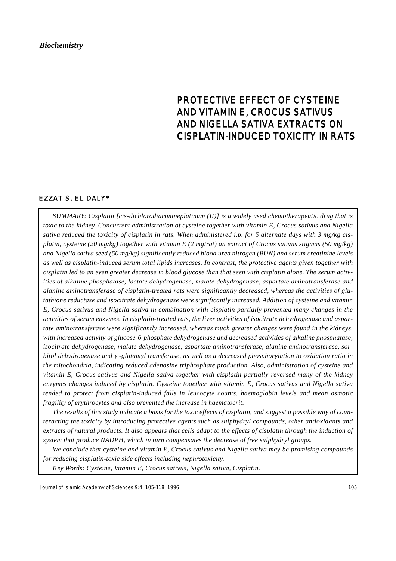# PROTECTIVE EFFECT OF CYSTEINE AND VITAMIN E, CROCUS SATIVUS AND NIGELLA SATIVA EXTRACTS ON CISPLATIN-INDUCED TOXICITY IN RATS

## EZZAT S. EL DALY\*

*SUMMARY: Cisplatin [cis-dichlorodiammineplatinum (II)] is a widely used chemotherapeutic drug that is toxic to the kidney. Concurrent administration of cysteine together with vitamin E, Crocus sativus and Nigella sativa reduced the toxicity of cisplatin in rats. When administered i.p. for 5 alternate days with 3 mg/kg cisplatin, cysteine (20 mg/kg) together with vitamin E (2 mg/rat) an extract of Crocus sativus stigmas (50 mg/kg) and Nigella sativa seed (50 mg/kg) significantly reduced blood urea nitrogen (BUN) and serum creatinine levels as well as cisplatin-induced serum total lipids increases. In contrast, the protective agents given together with cisplatin led to an even greater decrease in blood glucose than that seen with cisplatin alone. The serum activities of alkaline phosphatase, lactate dehydrogenase, malate dehydrogenase, aspartate aminotransferase and alanine aminotransferase of cisplatin-treated rats were significantly decreased, whereas the activities of glutathione reductase and isocitrate dehydrogenase were significantly increased. Addition of cysteine and vitamin E, Crocus sativus and Nigella sativa in combination with cisplatin partially prevented many changes in the activities of serum enzymes. In cisplatin-treated rats, the liver activities of isocitrate dehydrogenase and aspartate aminotransferase were significantly increased, whereas much greater changes were found in the kidneys, with increased activity of glucose-6-phosphate dehydrogenase and decreased activities of alkaline phosphatase, isocitrate dehydrogenase, malate dehydrogenase, aspartate aminotransferase, alanine aminotransferase, sorbitol dehydrogenase and* γ *-glutamyl transferase, as well as a decreased phosphorylation to oxidation ratio in the mitochondria, indicating reduced adenosine triphosphate production. Also, administration of cysteine and vitamin E, Crocus sativus and Nigella sativa together with cisplatin partially reversed many of the kidney enzymes changes induced by cisplatin. Cysteine together with vitamin E, Crocus sativus and Nigella sativa tended to protect from cisplatin-induced falls in leucocyte counts, haemoglobin levels and mean osmotic fragility of erythrocytes and also prevented the increase in haematocrit.*

*The results of this study indicate a basis for the toxic effects of cisplatin, and suggest a possible way of counteracting the toxicity by introducing protective agents such as sulphydryl compounds, other antioxidants and extracts of natural products. It also appears that cells adapt to the effects of cisplatin through the induction of system that produce NADPH, which in turn compensates the decrease of free sulphydryl groups.*

*We conclude that cysteine and vitamin E, Crocus sativus and Nigella sativa may be promising compounds for reducing cisplatin-toxic side effects including nephrotoxicity.*

*Key Words: Cysteine, Vitamin E, Crocus sativus, Nigella sativa, Cisplatin.*

Journal of Islamic Academy of Sciences 9:4, 105-118, 1996 105 105 105 105 105 105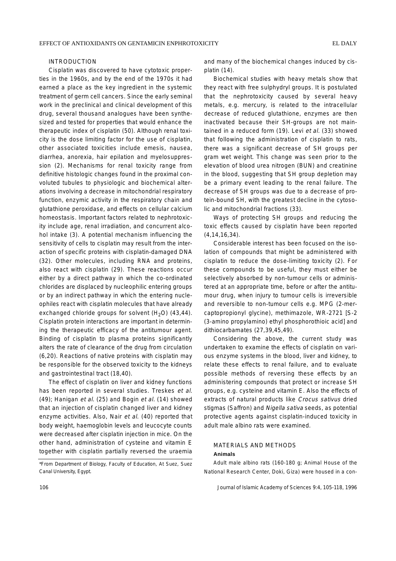## INTRODUCTION

Cisplatin was discovered to have cytotoxic properties in the 1960s, and by the end of the 1970s it had earned a place as the key ingredient in the systemic treatment of germ cell cancers. Since the early seminal work in the preclinical and clinical development of this drug, several thousand analogues have been synthesized and tested for properties that would enhance the therapeutic index of cisplatin (50). Although renal toxicity is the dose limiting factor for the use of cisplatin, other associated toxicities include emesis, nausea, diarrhea, anorexia, hair epilation and myelosuppression (2). Mechanisms for renal toxicity range from definitive histologic changes found in the proximal convoluted tubules to physiologic and biochemical alterations involving a decrease in mitochondrial respiratory function, enzymic activity in the respiratory chain and glutathione peroxidase, and effects on cellular calcium homeostasis. Important factors related to nephrotoxicity include age, renal irradiation, and concurrent alcohol intake (3). A potential mechanism influencing the sensitivity of cells to cisplatin may result from the interaction of specific proteins with cisplatin-damaged DNA (32). Other molecules, including RNA and proteins, also react with cisplatin (29). These reactions occur either by a direct pathway in which the co-ordinated chlorides are displaced by nucleophilic entering groups or by an indirect pathway in which the entering nucleophiles react with cisplatin molecules that have already exchanged chloride groups for solvent  $(H<sub>2</sub>O)$  (43,44). Cisplatin protein interactions are important in determining the therapeutic efficacy of the antitumour agent. Binding of cisplatin to plasma proteins significantly alters the rate of clearance of the drug from circulation (6,20). Reactions of native proteins with cisplatin may be responsible for the observed toxicity to the kidneys and gastrointestinal tract (18,40).

The effect of cisplatin on liver and kidney functions has been reported in several studies. Treskes et al. (49); Hanigan et al. (25) and Bogin et al. (14) showed that an injection of cisplatin changed liver and kidney enzyme activities. Also, Nair et al. (40) reported that body weight, haemoglobin levels and leucocyte counts were decreased after cisplatin injection in mice. On the other hand, administration of cysteine and vitamin E together with cisplatin partially reversed the uraemia and many of the biochemical changes induced by cisplatin (14).

Biochemical studies with heavy metals show that they react with free sulphydryl groups. It is postulated that the nephrotoxicity caused by several heavy metals, e.g. mercury, is related to the intracellular decrease of reduced glutathione, enzymes are then inactivated because their SH-groups are not maintained in a reduced form (19). Levi et al. (33) showed that following the administration of cisplatin to rats, there was a significant decrease of SH groups per gram wet weight. This change was seen prior to the elevation of blood urea nitrogen (BUN) and creatinine in the blood, suggesting that SH group depletion may be a primary event leading to the renal failure. The decrease of SH groups was due to a decrease of protein-bound SH, with the greatest decline in the cytosolic and mitochondrial fractions (33).

Ways of protecting SH groups and reducing the toxic effects caused by cisplatin have been reported (4,14,16,34).

Considerable interest has been focused on the isolation of compounds that might be administered with cisplatin to reduce the dose-limiting toxicity (2). For these compounds to be useful, they must either be selectively absorbed by non-tumour cells or administered at an appropriate time, before or after the antitumour drug, when injury to tumour cells is irreversible and reversible to non-tumour cells e.g. MPG (2-mercaptopropionyl glycine), methimazole, WR-2721 [S-2 (3-amino propylamino) ethyl phosphorothioic acid] and dithiocarbamates (27,39,45,49).

Considering the above, the current study was undertaken to examine the effects of cisplatin on various enzyme systems in the blood, liver and kidney, to relate these effects to renal failure, and to evaluate possible methods of reversing these effects by an administering compounds that protect or increase SH groups, e.g. cysteine and vitamin E. Also the effects of extracts of natural products like Crocus sativus dried stigmas (Saffron) and Nigella sativa seeds, as potential protective agents against cisplatin-induced toxicity in adult male albino rats were examined.

## MATERIALS AND METHODS **Animals**

Adult male albino rats (160-180 g; Animal House of the National Research Center, Doki, Giza) were housed in a con-

<sup>\*</sup>From Department of Biology, Faculty of Education, At Suez, Suez Canal University, Egypt.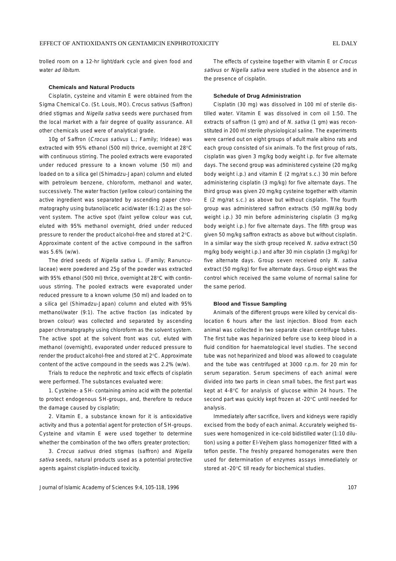trolled room on a 12-hr light/dark cycle and given food and water ad libitum.

#### **Chemicals and Natural Products**

Cisplatin, cysteine and vitamin E were obtained from the Sigma Chemical Co. (St. Louis, MO). Crocus sativus (Saffron) dried stigmas and Nigella sativa seeds were purchased from the local market with a fair degree of quality assurance. All other chemicals used were of analytical grade.

10g of Saffron (Crocus sativus L.; Family; Irideae) was extracted with 95% ethanol (500 ml) thrice, overnight at 28°C with continuous stirring. The pooled extracts were evaporated under reduced pressure to a known volume (50 ml) and loaded on to a silica gel (Shimadzu-Japan) column and eluted with petroleum benzene, chloroform, methanol and water, successively. The water fraction (yellow colour) containing the active ingredient was separated by ascending paper chromatography using butanol/acetic acid/water (6:1:2) as the solvent system. The active spot (faint yellow colour was cut, eluted with 95% methanol overnight, dried under reduced pressure to render the product alcohol-free and stored at 2°C. Approximate content of the active compound in the saffron was 5.6% (w/w).

The dried seeds of Nigella sativa L. (Family; Ranunculaceae) were powdered and 25g of the powder was extracted with 95% ethanol (500 ml) thrice, overnight at 28°C with continuous stirring. The pooled extracts were evaporated under reduced pressure to a known volume (50 ml) and loaded on to a silica gel (Shimadzu-Japan) column and eluted with 95% methanol/water (9:1). The active fraction (as indicated by brown colour) was collected and separated by ascending paper chromatography using chloroform as the solvent system. The active spot at the solvent front was cut, eluted with methanol (overnight), evaporated under reduced pressure to render the product alcohol-free and stored at 2°C. Approximate content of the active compound in the seeds was 2.2% (w/w).

Trials to reduce the nephrotic and toxic effects of cisplatin were performed. The substances evaluated were:

1. Cysteine- a SH- containing amino acid with the potential to protect endogenous SH-groups, and, therefore to reduce the damage caused by cisplatin;

2. Vitamin E, a substance known for it is antioxidative activity and thus a potential agent for protection of SH-groups. Cysteine and vitamin E were used together to determine whether the combination of the two offers greater protection;

3. Crocus sativus dried stigmas (saffron) and Nigella sativa seeds, natural products used as a potential protective agents against cisplatin-induced toxicity.

The effects of cysteine together with vitamin E or Crocus sativus or Nigella sativa were studied in the absence and in the presence of cisplatin.

#### **Schedule of Drug Administration**

Cisplatin (30 mg) was dissolved in 100 ml of sterile distilled water. Vitamin E was dissolved in corn oil 1:50. The extracts of saffron (1 gm) and of N. sativa (1 gm) was reconstituted in 200 ml sterile physiological saline. The experiments were carried out on eight groups of adult male albino rats and each group consisted of six animals. To the first group of rats, cisplatin was given 3 mg/kg body weight i.p. for five alternate days. The second group was administered cysteine (20 mg/kg body weight i.p.) and vitamin E (2 mg/rat s.c.) 30 min before administering cisplatin (3 mg/kg) for five alternate days. The third group was given 20 mg/kg cysteine together with vitamin E (2 mg/rat s.c.) as above but without cisplatin. The fourth group was administered saffron extracts (50 mgW/kg body weight i.p.) 30 min before administering cisplatin (3 mg/kg body weight i.p.) for five alternate days. The fifth group was given 50 mg/kg saffron extracts as above but without cisplatin. In a similar way the sixth group received N. sativa extract (50 mg/kg body weight i.p.) and after 30 min cisplatin (3 mg/kg) for five alternate days. Group seven received only N. sativa extract (50 mg/kg) for five alternate days. Group eight was the control which received the same volume of normal saline for the same period.

#### **Blood and Tissue Sampling**

Animals of the different groups were killed by cervical dislocation 6 hours after the last injection. Blood from each animal was collected in two separate clean centrifuge tubes. The first tube was heparinized before use to keep blood in a fluid condition for haematological level studies. The second tube was not heparinized and blood was allowed to coagulate and the tube was centrifuged at 3000 r.p.m. for 20 min for serum separation. Serum specimens of each animal were divided into two parts in clean small tubes, the first part was kept at 4-8°C for analysis of glucose within 24 hours. The second part was quickly kept frozen at -20°C until needed for analysis.

Immediately after sacrifice, livers and kidneys were rapidly excised from the body of each animal. Accurately weighed tissues were homogenized in ice-cold bidistilled water (1:10 dilution) using a potter El-Vejhem glass homogenizer fitted with a teflon pestle. The freshly prepared homogenates were then used for determination of enzymes assays immediately or stored at -20°C till ready for biochemical studies.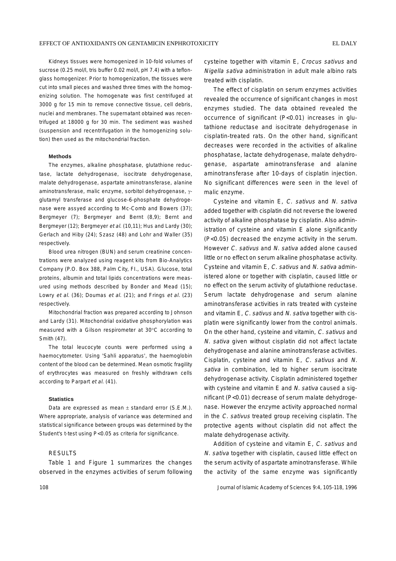Kidneys tissues were homogenized in 10-fold volumes of sucrose (0.25 mol/l, tris buffer 0.02 mol/l, pH 7.4) with a teflonglass homogenizer. Prior to homogenization, the tissues were cut into small pieces and washed three times with the homogenizing solution. The homogenate was first centrifuged at 3000 g for 15 min to remove connective tissue, cell debris, nuclei and membranes. The supernatant obtained was recentrifuged at 18000 g for 30 min. The sediment was washed (suspension and recentrifugation in the homogenizing solution) then used as the mitochondrial fraction.

### **Methods**

The enzymes, alkaline phosphatase, glutathione reductase, lactate dehydrogenase, isocitrate dehydrogenase, malate dehydrogenase, aspartate aminotransferase, alanine aminotransferase, malic enzyme, sorbitol dehydrogenase, γglutamyl transferase and glucose-6-phosphate dehydrogenase were assyed according to Mc-Comb and Bowers (37); Bergmeyer (7); Bergmeyer and Bernt (8,9); Bernt and Bergmeyer (12); Bergmeyer et al. (10,11); Hus and Lardy (30); Gerlach and Hiby (24); Szasz (48) and Lohr and Waller (35) respectively.

Blood urea nitrogen (BUN) and serum creatinine concentrations were analyzed using reagent kits from Bio-Analytics Company (P.O. Box 388, Palm City, FI., USA). Glucose, total proteins, albumin and total lipids concentrations were measured using methods described by Bonder and Mead (15); Lowry et al. (36); Doumas et al. (21); and Frings et al. (23) respectively.

Mitochondrial fraction was prepared according to Johnson and Lardy (31). Mitochondrial oxidative phosphorylation was measured with a Gilson respirometer at 30°C according to Smith (47).

The total leucocyte counts were performed using a haemocytometer. Using 'Sahli apparatus', the haemoglobin content of the blood can be determined. Mean osmotic fragility of erythrocytes was measured on freshly withdrawn cells according to Parpart et al. (41).

#### **Statistics**

Data are expressed as mean  $\pm$  standard error (S.E.M.). Where appropriate, analysis of variance was determined and statistical significance between groups was determined by the Student's t-test using P<0.05 as criteria for significance.

## **RESULTS**

Table 1 and Figure 1 summarizes the changes observed in the enzymes activities of serum following cysteine together with vitamin E, Crocus sativus and Nigella sativa administration in adult male albino rats treated with cisplatin.

The effect of cisplatin on serum enzymes activities revealed the occurrence of significant changes in most enzymes studied. The data obtained revealed the occurrence of significant (P<0.01) increases in glutathione reductase and isocitrate dehydrogenase in cisplatin-treated rats. On the other hand, significant decreases were recorded in the activities of alkaline phosphatase, lactate dehydrogenase, malate dehydrogenase, aspartate aminotransferase and alanine aminotransferase after 10-days of cisplatin injection. No significant differences were seen in the level of malic enzyme.

Cysteine and vitamin E, C. sativus and N. sativa added together with cisplatin did not reverse the lowered activity of alkaline phosphatase by cisplatin. Also administration of cysteine and vitamin E alone significantly (P<0.05) decreased the enzyme activity in the serum. However C. sativus and N. sativa added alone caused little or no effect on serum alkaline phosphatase activity. Cysteine and vitamin E, C. sativus and N. sativa administered alone or together with cisplatin, caused little or no effect on the serum activity of glutathione reductase. Serum lactate dehydrogenase and serum alanine aminotransferase activities in rats treated with cysteine and vitamin E, C. sativus and N. sativa together with cisplatin were significantly lower from the control animals. On the other hand, cysteine and vitamin, C. sativus and N. sativa given without cisplatin did not affect lactate dehydrogenase and alanine aminotransferase activities. Cisplatin, cysteine and vitamin E, C. sativus and N. sativa in combination, led to higher serum isocitrate dehydrogenase activity. Cisplatin administered together with cysteine and vitamin E and N. sativa caused a significant (P<0.01) decrease of serum malate dehydrogenase. However the enzyme activity approached normal in the C. sativus treated group receiving cisplatin. The protective agents without cisplatin did not affect the malate dehydrogenase activity.

Addition of cysteine and vitamin E, C. sativus and N. sativa together with cisplatin, caused little effect on the serum activity of aspartate aminotransferase. While the activity of the same enzyme was significantly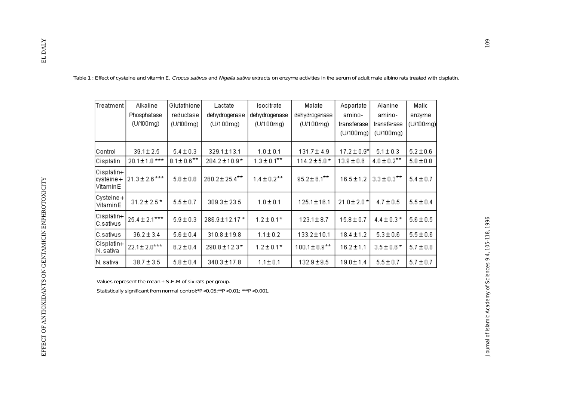| Treatment                           | Alkaline<br>Phosphatase<br>(U/100mg) | Glutathione<br>reductase<br>(U/100mg) | Lactate<br>dehydrogenase<br>(U/100mg) | Isocitrate<br>dehydrogenase<br>(U/100mg) | Malate<br>dehydrogenase<br>(U/100mg) | Aspartate<br>amino-<br>transferase<br>(U/100mg) | Alanine<br>amino-<br>transferase<br>(U/100mg) | Malic<br>enzyme<br>(U/100mg) |
|-------------------------------------|--------------------------------------|---------------------------------------|---------------------------------------|------------------------------------------|--------------------------------------|-------------------------------------------------|-----------------------------------------------|------------------------------|
| Control                             | $39.1 \pm 2.5$                       | $5.4 \pm 0.3$                         | 329.1±13.1                            | $1.0 \pm 0.1$                            | $131.7 \pm 4.9$                      | $17.2 \pm 0.9$ *                                | $5.1 \pm 0.3$                                 | $5.2 \pm 0.6$                |
| Cisplatin                           | 20.1±1.8 ***                         | $8.1 \pm 0.6$ **                      | 284.2±10.9*                           | $1.3 \pm 0.1$ **                         | $114.2 \pm 5.8$ *                    | $13.9 \pm 0.6$                                  | $4.0 \pm 0.2$ **                              | $5.8 \pm 0.8$                |
| Cisplatin+<br>cysteine+<br>VitaminE | $21.3 \pm 2.6$ ***                   | $5.8 \pm 0.8$                         | 260.2±25.4**                          | $1.4 \pm 0.2$ **                         | $95.2 \pm 6.1***$                    | $16.5 \pm 1.2$                                  | $3.3 \pm 0.3$ **                              | $5.4 \pm 0.7$                |
| Cysteine+<br>VitaminE               | $31.2 \pm 2.5$ *                     | $5.5 \pm 0.7$                         | $309.3 \pm 23.5$                      | $1.0 \pm 0.1$                            | $125.1 \pm 16.1$                     | 21.0±2.0*                                       | $4.7 \pm 0.5$                                 | $5.5 \pm 0.4$                |
| Cisplatin+<br>C.sativus             | $25.4 \pm 2.1***$                    | $5.9 \pm 0.3$                         | 286.9±12.17*                          | $1.2 \pm 0.1*$                           | $123.1 \pm 8.7$                      | $15.8 \pm 0.7$                                  | $4.4 \pm 0.3*$                                | $5.6 \pm 0.5$                |
| C.sativus                           | $36.2 \pm 3.4$                       | $5.6 \pm 0.4$                         | 310.8 ± 19.8                          | $1.1 \pm 0.2$                            | 133.2±10.1                           | $18.4 \pm 1.2$                                  | $5.3 \pm 0.6$                                 | $5.5 \pm 0.6$                |
| Cisplatin+<br>N. sativa             | $22.1 \pm 2.0***$                    | $6.2 \pm 0.4$                         | 290.8±12.3*                           | $1.2 \pm 0.1*$                           | $100.1 \pm 8.9$ **                   | $16.2 \pm 1.1$                                  | $3.5 \pm 0.6*$                                | $5.7 \pm 0.8$                |
| N. sativa                           | $38.7 \pm 3.5$                       | $5.8 \pm 0.4$                         | $340.3 \pm 17.8$                      | $1.1 \pm 0.1$                            | $132.9 \pm 9.5$                      | $19.0 \pm 1.4$                                  | $5.5 \pm 0.7$                                 | $5.7 \pm 0.7$                |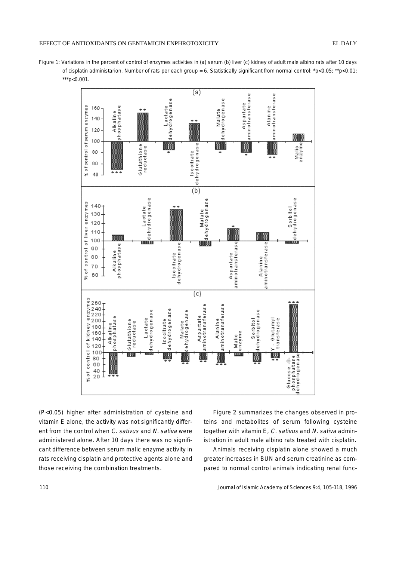## EFFECT OF ANTIOXIDANTS ON GENTAMICIN ENPHROTOXICITY EL DALY

Figure 1: Variations in the percent of control of enzymes activities in (a) serum (b) liver (c) kidney of adult male albino rats after 10 days of cisplatin administarion. Number of rats per each group = 6. Statistically significant from normal control: \*p<0.05; \*\*p<0.01; \*\*\*p<0.001.



(P<0.05) higher after administration of cysteine and vitamin E alone, the activity was not significantly different from the control when C. sativus and N. sativa were administered alone. After 10 days there was no significant difference between serum malic enzyme activity in rats receiving cisplatin and protective agents alone and those receiving the combination treatments.

Figure 2 summarizes the changes observed in proteins and metabolites of serum following cysteine together with vitamin E, C. sativus and N. sativa administration in adult male albino rats treated with cisplatin.

Animals receiving cisplatin alone showed a much greater increases in BUN and serum creatinine as compared to normal control animals indicating renal func-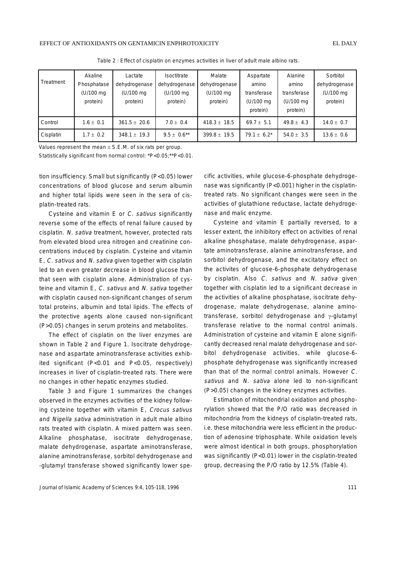|           | Akaline     | Lactate          | Isoctitrate      | Malate           | Aspartate      | Alanine        | Sorbitol       |
|-----------|-------------|------------------|------------------|------------------|----------------|----------------|----------------|
| Treatment | Phosphatase | dehydrogenase    | dehydrogenase    | dehydrogenase    | amino          | amino          | dehydrogenase  |
|           | (U/100 mg)  | (U/100 mg)       | (U/100 mg)       | (U/100 mg)       | transferase    | transferase    | (U/100 mg)     |
|           | protein)    | protein)         | protein)         | protein)         | (U/100 mg      | (U/100 mg      | protein)       |
|           |             |                  |                  |                  | protein)       | protein)       |                |
| Control   | $1.6 + 0.1$ | $361.5 \pm 20.6$ | $7.0 + 0.4$      | $418.3 \pm 18.5$ | $69.7 \pm 5.1$ | $49.8 \pm 4.3$ | $14.0 \pm 0.7$ |
| Cisplatin | $1.7 + 0.2$ | $348.1 \pm 19.3$ | $9.5 + 0.6^{**}$ | $399.8 \pm 19.5$ | $79.1 + 6.2^*$ | 54.0 $\pm$ 3.5 | $13.6 \pm 0.6$ |

Table 2 : Effect of cisplatin on enzymes activities in liver of adult male albino rats.

Values represent the mean  $\pm$  S.E.M. of six rats per group.

Statistically significant from normal control: \*P<0.05;\*\*P<0.01.

tion insufficiency. Small but significantly (P<0.05) lower concentrations of blood glucose and serum albumin and higher total lipids were seen in the sera of cisplatin-treated rats.

Cysteine and vitamin E or C. sativus significantly reverse some of the effects of renal failure caused by cisplatin. N. sativa treatment, however, protected rats from elevated blood urea nitrogen and creatinine concentrations induced by cisplatin. Cysteine and vitamin E, C. sativus and N. sativa given together with cisplatin led to an even greater decrease in blood glucose than that seen with cisplatin alone. Administration of cysteine and vitamin E, C. sativus and N. sativa together with cisplatin caused non-significant changes of serum total proteins, albumin and total lipids. The effects of the protective agents alone caused non-significant (P>0.05) changes in serum proteins and metabolites.

The effect of cisplatin on the liver enzymes are shown in Table 2 and Figure 1. Isocitrate dehydrogenase and aspartate aminotransferase activities exhibited significant (P<0.01 and P<0.05, respectively) increases in liver of cisplatin-treated rats. There were no changes in other hepatic enzymes studied.

Table 3 and Figure 1 summarizes the changes observed in the enzymes activities of the kidney following cysteine together with vitamin E, Crocus sativus and Nigella sativa administration in adult male albino rats treated with cisplatin. A mixed pattern was seen. Alkaline phosphatase, isocitrate dehydrogenase, malate dehydrogenase, aspartate aminotransferase, alanine aminotransferase, sorbitol dehydrogenase and -glutamyl transferase showed significantly lower specific activities, while glucose-6-phosphate dehydrogenase was significantly (P<0.001) higher in the cisplatintreated rats. No significant changes were seen in the activities of glutathione reductase, lactate dehydrogenase and malic enzyme.

Cysteine and vitamin E partially reversed, to a lesser extent, the inhibitory effect on activities of renal alkaline phosphatase, malate dehydrogenase, aspartate aminotransferase, alanine aminotransferase, and sorbitol dehydrogenase, and the excitatory effect on the activites of glucose-6-phosphate dehydrogenase by cisplatin. Also C. sativus and N. sativa given together with cisplatin led to a significant decrease in the activities of alkaline phosphatase, isocitrate dehydrogenase, malate dehydrogenase, alanine aminotransferase, sorbitol dehydrogenase and γ-glutamyl transferase relative to the normal control animals. Administration of cysteine and vitamin E alone significantly decreased renal malate dehydrogenase and sorbitol dehydrogenase activities, while glucose-6 phosphate dehydrogenase was significantly increased than that of the normal control animals. However C. sativus and N. sativa alone led to non-significant (P>0.05) changes in the kidney enzymes activities.

Estimation of mitochondrial oxidation and phosphorylation showed that the P/O ratio was decreased in mitochondria from the kidneys of cisplatin-treated rats, i.e. these mitochondria were less efficient in the production of adenosine triphosphate. While oxidation levels were almost identical in both groups, phosphorylation was significantly (P<0.01) lower in the cisplatin-treated group, decreasing the P/O ratio by 12.5% (Table 4).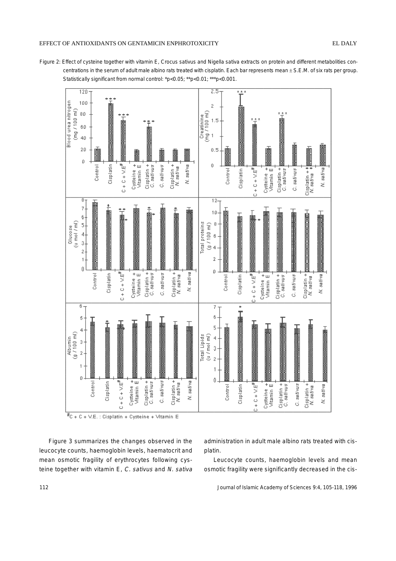## EFFECT OF ANTIOXIDANTS ON GENTAMICIN ENPHROTOXICITY EL DALY





Figure 3 summarizes the changes observed in the leucocyte counts, haemoglobin levels, haematocrit and mean osmotic fragility of erythrocytes following cysteine together with vitamin E, C. sativus and N. sativa administration in adult male albino rats treated with cisplatin.

Leucocyte counts, haemoglobin levels and mean osmotic fragility were significantly decreased in the cis-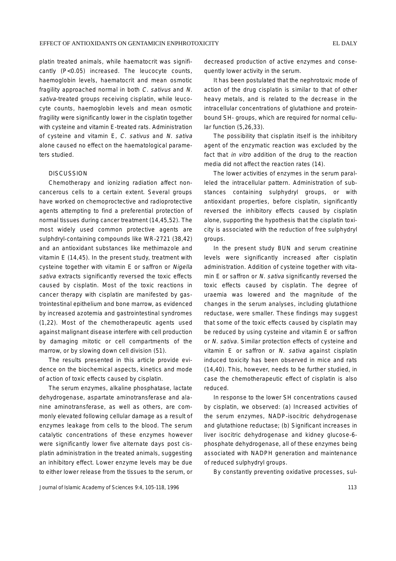platin treated animals, while haematocrit was significantly (P<0.05) increased. The leucocyte counts, haemoglobin levels, haematocrit and mean osmotic fragility approached normal in both C. sativus and N. sativa-treated groups receiving cisplatin, while leucocyte counts, haemoglobin levels and mean osmotic fragility were significantly lower in the cisplatin together with cysteine and vitamin E-treated rats. Administration of cysteine and vitamin E, C. sativus and N. sativa alone caused no effect on the haematological parameters studied.

## **DISCUSSION**

Chemotherapy and ionizing radiation affect noncancerous cells to a certain extent. Several groups have worked on chemoproctective and radioprotective agents attempting to find a preferential protection of normal tissues during cancer treatment (14,45,52). The most widely used common protective agents are sulphdryl-containing compounds like WR-2721 (38,42) and an antioxidant substances like methimazole and vitamin E (14,45). In the present study, treatment with cysteine together with vitamin E or saffron or Nigella sativa extracts significantly reversed the toxic effects caused by cisplatin. Most of the toxic reactions in cancer therapy with cisplatin are manifested by gastrointestinal epithelium and bone marrow, as evidenced by increased azotemia and gastrointestinal syndromes (1,22). Most of the chemotherapeutic agents used against malignant disease interfere with cell production by damaging mitotic or cell compartments of the marrow, or by slowing down cell division (51).

The results presented in this article provide evidence on the biochemical aspects, kinetics and mode of action of toxic effects caused by cisplatin.

The serum enzymes, alkaline phosphatase, lactate dehydrogenase, aspartate aminotransferase and alanine aminotransferase, as well as others, are commonly elevated following cellular damage as a result of enzymes leakage from cells to the blood. The serum catalytic concentrations of these enzymes however were significantly lower five alternate days post cisplatin administration in the treated animals, suggesting an inhibitory effect. Lower enzyme levels may be due to either lower release from the tissues to the serum, or

decreased production of active enzymes and consequently lower activity in the serum.

It has been postulated that the nephrotoxic mode of action of the drug cisplatin is similar to that of other heavy metals, and is related to the decrease in the intracellular concentrations of glutathione and proteinbound SH- groups, which are required for normal cellular function (5,26,33).

The possibility that cisplatin itself is the inhibitory agent of the enzymatic reaction was excluded by the fact that *in vitro* addition of the drug to the reaction media did not affect the reaction rates (14).

The lower activities of enzymes in the serum paralleled the intracellular pattern. Administration of substances containing sulphydryl groups, or with antioxidant properties, before cisplatin, significantly reversed the inhibitory effects caused by cisplatin alone, supporting the hypothesis that the cisplatin toxicity is associated with the reduction of free sulphydryl groups.

In the present study BUN and serum creatinine levels were significantly increased after cisplatin administration. Addition of cysteine together with vitamin E or saffron or N. sativa significantly reversed the toxic effects caused by cisplatin. The degree of uraemia was lowered and the magnitude of the changes in the serum analyses, including glutathione reductase, were smaller. These findings may suggest that some of the toxic effects caused by cisplatin may be reduced by using cysteine and vitamin E or saffron or N. sativa. Similar protection effects of cysteine and vitamin E or saffron or N. sativa against cisplatin induced toxicity has been observed in mice and rats (14,40). This, however, needs to be further studied, in case the chemotherapeutic effect of cisplatin is also reduced.

In response to the lower SH concentrations caused by cisplatin, we observed: (a) Increased activities of the serum enzymes, NADP-isocitric dehydrogenase and glutathione reductase; (b) Significant increases in liver isocitric dehydrogenase and kidney glucose-6 phosphate dehydrogenase, all of these enzymes being associated with NADPH generation and maintenance of reduced sulphydryl groups.

By constantly preventing oxidative processes, sul-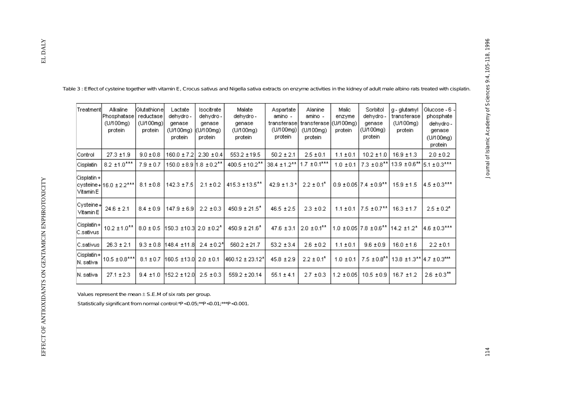| Treatment                  | Alkaline<br>Phosphatase<br>(UM00mg)<br>protein | [Glutathione]<br>reductase<br>(U/100mg)<br>protein | Lactate<br>dehydro -<br>genase<br>(U/100mg)<br>protein | Isocitrate<br>dehydro -<br>genase<br>(U/100mg)<br>protein | Malate<br>dehydro -<br>genase<br>(UM00mg)<br>protein | Aspartate<br>amino -<br>transferase]<br>(U/100mg)<br>protein | Alanine<br>amino -<br>transferase<br>(U/100mg)<br>protein | Malic<br>enzyme<br>(U/100mg)<br>protein | Sorbitol<br>dehydro -<br>genase<br>(U/100mg)<br>protein                | g - glutamyl<br>transferase<br>(UM00mg)<br>protein     | Glucose - 6<br>phosphate<br>dehydro -<br>genase<br>(U/100mg)<br>protein |
|----------------------------|------------------------------------------------|----------------------------------------------------|--------------------------------------------------------|-----------------------------------------------------------|------------------------------------------------------|--------------------------------------------------------------|-----------------------------------------------------------|-----------------------------------------|------------------------------------------------------------------------|--------------------------------------------------------|-------------------------------------------------------------------------|
| Control                    | $27.3 \pm 1.9$                                 | $9.0 \pm 0.8$                                      | $160.0 \pm 7.2$                                        | $2.30 \pm 0.4$                                            | $553.2 \pm 19.5$                                     | $50.2 \pm 2.1$                                               | $2.5 \pm 0.1$                                             | $1.1 \pm 0.1$                           | $10.2 \pm 1.0$                                                         | $16.9 \pm 1.3$                                         | $2.0 \pm 0.2$                                                           |
| Cisplatin                  | $8.2 \pm 1.0$ ***                              | $7.9 \pm 0.7$                                      | $150.0 \pm 8.9$   1.8 $\pm 0.2$ <sup>**</sup>          |                                                           | $400.5 \pm 10.2$ <sup>**</sup>                       | $38.4 \pm 1.2$ **                                            | $1.7 \pm 0.1***$                                          | $1.0 \pm 0.1$                           | $7.3 \pm 0.8$ <sup>**</sup>                                            | 13.9 ± 0.6** 5.1 ± 0.3***                              |                                                                         |
| Cisplatin +<br>l Vitamin E | cysteine+ 16.0 ± 2.2***                        | $8.1 \pm 0.8$                                      | $142.3 \pm 7.5$                                        | $2.1 \pm 0.2$                                             | 415.3 ± 13.5 <sup>**</sup>                           | $42.9 \pm 1.3$ *                                             | $2.2 \pm 0.1^*$                                           |                                         | $0.9 \pm 0.05$ 7.4 $\pm 0.9$ <sup>**</sup>                             | $15.9 \pm 1.5$                                         | 4.5 ± 0.3***                                                            |
| Cysteine+ <br>Vitamin E    | $24.6 \pm 2.1$                                 | $8.4 \pm 0.9$                                      | $147.9 \pm 6.9$                                        | $2.2 \pm 0.3$                                             | $450.9 \pm 21.5^*$                                   | $46.5 \pm 2.5$                                               | $2.3 \pm 0.2$                                             |                                         | $1.1 \pm 0.1$   7.5 $\pm$ 0.7**                                        | $16.3 \pm 1.7$                                         | $2.5 \pm 0.2^*$                                                         |
| Cisplatin+ <br>C.sativus   | $10.2 \pm 1.0$ <sup>**</sup>                   | $8.0 \pm 0.5$                                      | $ 150.3 \pm 10.3  2.0 \pm 0.2^*$                       |                                                           | $450.9 \pm 21.6^*$                                   | $47.6 \pm 3.1$                                               | $2.0 \pm 0.1$ <sup>**</sup>                               |                                         | $1.0 \pm 0.05$ 7.8 $\pm 0.6$ <sup>**</sup> 14.2 $\pm 1.2$ <sup>*</sup> |                                                        | 4.6 ± 0.3***                                                            |
| C.sativus                  | $26.3 \pm 2.1$                                 | $9.3 \pm 0.8$                                      | 148.4 ±11.8                                            | $2.4 \pm 0.2^*$                                           | $560.2 \pm 21.7$                                     | $53.2 \pm 3.4$                                               | $2.6 \pm 0.2$                                             | $1.1 \pm 0.1$                           | $9.6 \pm 0.9$                                                          | $16.0 \pm 1.6$                                         | $2.2 \pm 0.1$                                                           |
| Cisplatin+ <br>N. sativa   | $10.5 \pm 0.8$ ***                             | $8.1 \pm 0.7$                                      | $160.5 \pm 13.0$                                       | $2.0 \pm 0.1$                                             | 460.12 ± 23.12*                                      | $45.8 \pm 2.9$                                               | $2.2 \pm 0.1^*$                                           | $1.0 \pm 0.1$                           |                                                                        | $7.5 \pm 0.8$ **   13.8 $\pm$ 1.3**   4.7 $\pm$ 0.3*** |                                                                         |
| N. sativa                  | $27.1 \pm 2.3$                                 | $9.4 \pm 1.0$                                      | 152.2 ±12.0                                            | $2.5 \pm 0.3$                                             | $559.2 \pm 20.14$                                    | $55.1 \pm 4.1$                                               | $2.7 \pm 0.3$                                             | $1.2 \pm 0.05$                          | $10.5 \pm 0.9$                                                         | $16.7 \pm 1.2$                                         | $2.6 \pm 0.3$ <sup>**</sup>                                             |

Table 3 : Effect of cysteine together with vitamin E, Crocus sativus and Nigella sativa extracts on enzyme activities in the kidney of adult male albino rats treated with cisplatin.

Values represent the mean  $\pm$  S.E.M of six rats per group.

Statistically significant from normal control:\*P<0.05;\*\*P<0.01;\*\*\*P<0.001.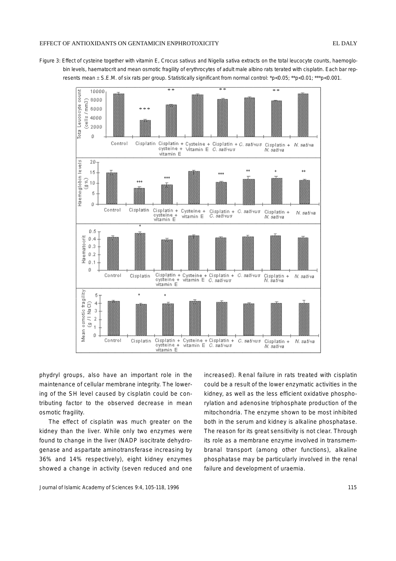#### EFFECT OF ANTIOXIDANTS ON GENTAMICIN ENPHROTOXICITY EL DALY

Figure 3: Effect of cysteine together with vitamin E, Crocus sativus and Nigella sativa extracts on the total leucocyte counts, haemoglobin levels, haematocrit and mean osmotic fragility of erythrocytes of adult male albino rats terated with cisplatin. Each bar represents mean ± S.E.M. of six rats per group. Statistically significant from normal control: \*p<0.05; \*\*p<0.01; \*\*\*p<0.001.



phydryl groups, also have an important role in the maintenance of cellular membrane integrity. The lowering of the SH level caused by cisplatin could be contributing factor to the observed decrease in mean osmotic fragility.

The effect of cisplatin was much greater on the kidney than the liver. While only two enzymes were found to change in the liver (NADP isocitrate dehydrogenase and aspartate aminotransferase increasing by 36% and 14% respectively), eight kidney enzymes showed a change in activity (seven reduced and one

Journal of Islamic Academy of Sciences 9:4, 105-118, 1996

increased). Renal failure in rats treated with cisplatin could be a result of the lower enzymatic activities in the kidney, as well as the less efficient oxidative phosphorylation and adenosine triphosphate production of the mitochondria. The enzyme shown to be most inhibited both in the serum and kidney is alkaline phosphatase. The reason for its great sensitivity is not clear. Through its role as a membrane enzyme involved in transmembranal transport (among other functions), alkaline phosphatase may be particularly involved in the renal failure and development of uraemia.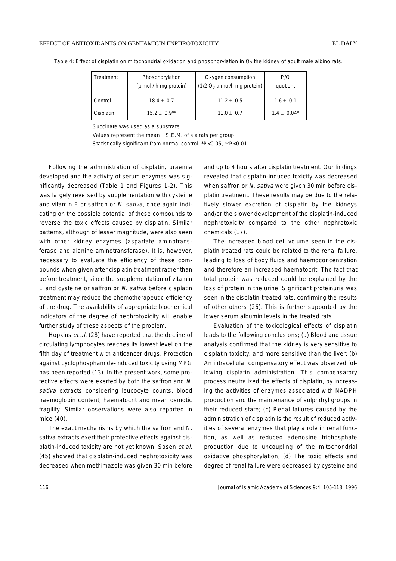| Treatment | Phosphorylation<br>$(\mu \text{ mol } / \text{h} \text{ mg protein})$ | Oxygen consumption<br>$(1/2 O2 \mu$ mol/h mg protein) | P/O<br>quotient |
|-----------|-----------------------------------------------------------------------|-------------------------------------------------------|-----------------|
| Control   | $18.4 + 0.7$                                                          | $11.2 + 0.5$                                          | $1.6 \pm 0.1$   |
| Cisplatin | $15.2 \pm 0.9***$                                                     | 11.0 $\pm$ 0.7                                        | $1.4 \pm 0.04*$ |

Table 4: Effect of cisplatin on mitochondrial oxidation and phosphorylation in  $O<sub>2</sub>$  the kidney of adult male albino rats.

Succinate was used as a substrate.

Values represent the mean  $\pm$  S.E.M. of six rats per group.

Statistically significant from normal control: \*P<0.05, \*\*P<0.01.

Following the administration of cisplatin, uraemia developed and the activity of serum enzymes was significantly decreased (Table 1 and Figures 1-2). This was largely reversed by supplementation with cysteine and vitamin E or saffron or N. sativa, once again indicating on the possible potential of these compounds to reverse the toxic effects caused by cisplatin. Similar patterns, although of lesser magnitude, were also seen with other kidney enzymes (aspartate aminotransferase and alanine aminotransferase). It is, however, necessary to evaluate the efficiency of these compounds when given after cisplatin treatment rather than before treatment, since the supplementation of vitamin E and cysteine or saffron or N. sativa before cisplatin treatment may reduce the chemotherapeutic efficiency of the drug. The availability of appropriate biochemical indicators of the degree of nephrotoxicity will enable further study of these aspects of the problem.

Hopkins et al. (28) have reported that the decline of circulating lymphocytes reaches its lowest level on the fifth day of treatment with anticancer drugs. Protection against cyclophosphamide-induced toxicity using MPG has been reported (13). In the present work, some protective effects were exerted by both the saffron and N. sativa extracts considering leucocyte counts, blood haemoglobin content, haematocrit and mean osmotic fragility. Similar observations were also reported in mice (40).

The exact mechanisms by which the saffron and N. sativa extracts exert their protective effects against cisplatin-induced toxicity are not yet known. Sasen et al. (45) showed that cisplatin-induced nephrotoxicity was decreased when methimazole was given 30 min before and up to 4 hours after cisplatin treatment. Our findings revealed that cisplatin-induced toxicity was decreased when saffron or N. sativa were given 30 min before cisplatin treatment. These results may be due to the relatively slower excretion of cisplatin by the kidneys and/or the slower development of the cisplatin-induced nephrotoxicity compared to the other nephrotoxic chemicals (17).

The increased blood cell volume seen in the cisplatin treated rats could be related to the renal failure, leading to loss of body fluids and haemoconcentration and therefore an increased haematocrit. The fact that total protein was reduced could be explained by the loss of protein in the urine. Significant proteinuria was seen in the cisplatin-treated rats, confirming the results of other others (26). This is further supported by the lower serum albumin levels in the treated rats.

Evaluation of the toxicological effects of cisplatin leads to the following conclusions; (a) Blood and tissue analysis confirmed that the kidney is very sensitive to cisplatin toxicity, and more sensitive than the liver; (b) An intracellular compensatory effect was observed following cisplatin administration. This compensatory process neutralized the effects of cisplatin, by increasing the activities of enzymes associated with NADPH production and the maintenance of sulphdryl groups in their reduced state; (c) Renal failures caused by the administration of cisplatin is the result of reduced activities of several enzymes that play a role in renal function, as well as reduced adenosine triphosphate production due to uncoupling of the mitochondrial oxidative phosphorylation; (d) The toxic effects and degree of renal failure were decreased by cysteine and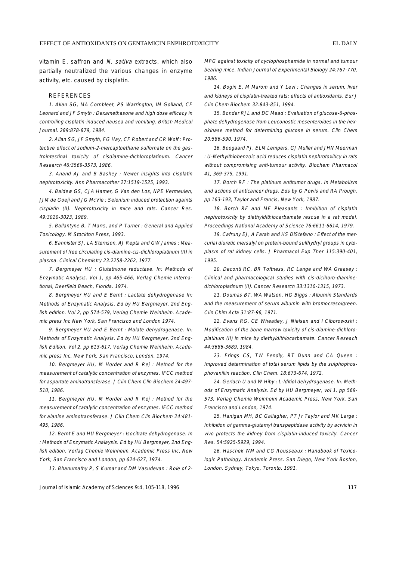vitamin E, saffron and N. sativa extracts, which also partially neutralized the various changes in enzyme activity, etc. caused by cisplatin.

#### REFERENCES

1. Allan SG, MA Cornbleet, PS Warrington, IM Golland, CF Leonard and JF Smyth : Dexamethasone and high dose efficacy in controlling cisplatin-induced nausea and vomiting. British Medical Journal. 289:878-879, 1984.

2. Allan SG, JF Smyth, FG Hay, CF Robert and CR Wolf : Protective effect of sodium-2-mercaptoethane sulfornate on the gastrointestinal toxicity of cisdiamine-dichloroplatinum. Cancer Research 46:3569-3573, 1986.

3. Anand AJ and B Bashey : Newer insights into cisplatin nephrotoxicity. Ann Pharmacother 27:1519-1525, 1993.

4. Baldew GS, CJA Hamer, G Van den Los, NPE Vermeulen, JJM de Goeji and JG McVie : Selenium induced protection againts cisplatin (II). Nephrotoxicity in mice and rats. Cancer Res. 49:3020-3023, 1989.

5. Ballantyne B, T Marrs, and P Turner : General and Applied Toxicology. M Stockton Press, 1993.

6. Bannister SJ, LA Sternson, AJ Repta and GW James : Measurement of free circulating cis-diamine-cis-dichloroplatinum (II) in plasma. Clinical Chemistry 23:2258-2262, 1977.

7. Bergmeyer HU : Glutathione reductase. In: Methods of Enzymatic Analysis. Vol 1, pp 465-466, Verlag Chemie International, Deerfield Beach, Florida. 1974.

8. Bergmeyer HU and E Bernt : Lactate dehydrogenase In: Methods of Enzymatic Analysis. Ed by HU Bergmeyer, 2nd English edition. Vol 2, pp 574-579, Verlag Chemie Weinheim. Academic press Inc New York, San Francisco and London 1974.

9. Bergmeyer HU and E Bernt : Malate dehydrogenase. In: Methods of Enzymatic Analysis. Ed by HU Bergmeyer, 2nd English Edition. Vol 2, pp 613-617, Verlag Chemie Weinheim. Academic press Inc, New York, San Francisco, London, 1974.

10. Bergmeyer HU, M Horder and R Rej : Method for the measurement of catalytic concentration of enzymes. IFCC method for aspartate aminotransferase. J Clin Chem Clin Biochem 24:497- 510, 1986.

11. Bergmeyer HU, M Horder and R Rej : Method for the measurement of catalytic concentration of enzymes. IFCC method for alanine aminotransferase. J Clin Chem Clin Biochem 24:481- 495, 1986.

12. Bernt E and HU Bergmeyer : Isocitrate dehydrogenase. In : Methods of Enzymatic Analaysis. Ed by HU Bergmeyer, 2nd English edition. Verlag Chemie Weinheim. Academic Press Inc, New York, San Francisco and London, pp 624-627, 1974.

13. Bhanumathy P, S Kumar and DM Vasudevan : Role of 2-

MPG against toxicity of cyclophosphamide in normal and tumour bearing mice. Indian Journal of Experimental Biology 24:767-770, 1986.

14. Bogin E, M Marom and Y Levi : Changes in serum, liver and kidneys of cisplatin-treated rats; effects of antioxidants. Eur J Clin Chem Biochem 32:843-851, 1994.

15. Bonder RJL and DC Mead : Evaluation of glucose-6-phosphate dehydrogenase from Leuconostic mesenteroides in the hexokinase method for determining glucose in serum. Clin Chem 20:586-590, 1974.

16. Boogaard PJ, ELM Lempers, GJ Muller and JHN Meerman : U-Methylthiobenzoic acid reduces cisplatin nephrotoxiticy in rats without compromising anti-tumour activity. Biochem Pharmacol 41, 369-375, 1991.

17. Borch RF : The platinum antitumor drugs. In Metabolism and actions of anticancer drugs. Eds by G Powis and RA Prough, pp 163-193, Taylor and Francis, New York, 1987.

18. Borch RF and ME Pleasants : Inhibition of cisplatin nephrotoxicity by diethyldithiocarbamate rescue in a rat model. Proceedings National Academy of Science 76:6611-6614, 1979.

19. Cafruny EJ, A Farah and HS DiStefano : Effect of the mercurial diuretic mersalyl on protein-bound sulfhydryl groups in cytoplasm of rat kidney cells. J Pharmacol Exp Ther 115:390-401, 1995.

20. Deconti RC, BR Toftness, RC Lange and WA Greasey : Clinical and pharmacological studies with cis-diclhoro-diaminedichloroplatinum (II). Cancer Research 33:1310-1315, 1973.

21. Doumas BT, WA Watson, HG Biggs : Albumin Standards and the measurement of serum albumin with bromocresolgreen. Clin Chim Acta 31:87-96, 1971.

22. Evans RG, CE Wheatley, J Nielsen and I Ciborowoski : Modification of the bone marrow toxicity of cis-diamine-dichloroplatinum (II) in mice by diethyldithiocarbamate. Cancer Reseach 44:3686-3689, 1984.

23. Frings CS, TW Fendly, RT Dunn and CA Queen : Improved determination of total serum lipids by the sulphophosphovanillin reaction. Clin Chem. 18:673-674, 1972.

24. Gerlach U and W Hiby : L-Iditiol dehydrogenase. In: Methods of Enzymatic Analysis. Ed by HU Bergmeyer, vol 1, pp 569- 573, Verlag Chemie Weinheim Academic Press, New York, San Francisco and London, 1974.

25. Hanigan MH, BC Gallagher, PT Jr Taylor and MK Large : Inhibition of gamma-glutamyl transpeptidase activity by acivicin in vivo protects the kidney from cisplatin-induced toxicity. Cancer Res. 54:5925-5929, 1994.

26. Haschek WM and CG Rousseaux : Handbook of Toxicologic Pathology. Academic Press. San Diego, New York Boston, London, Sydney, Tokyo, Toronto. 1991.